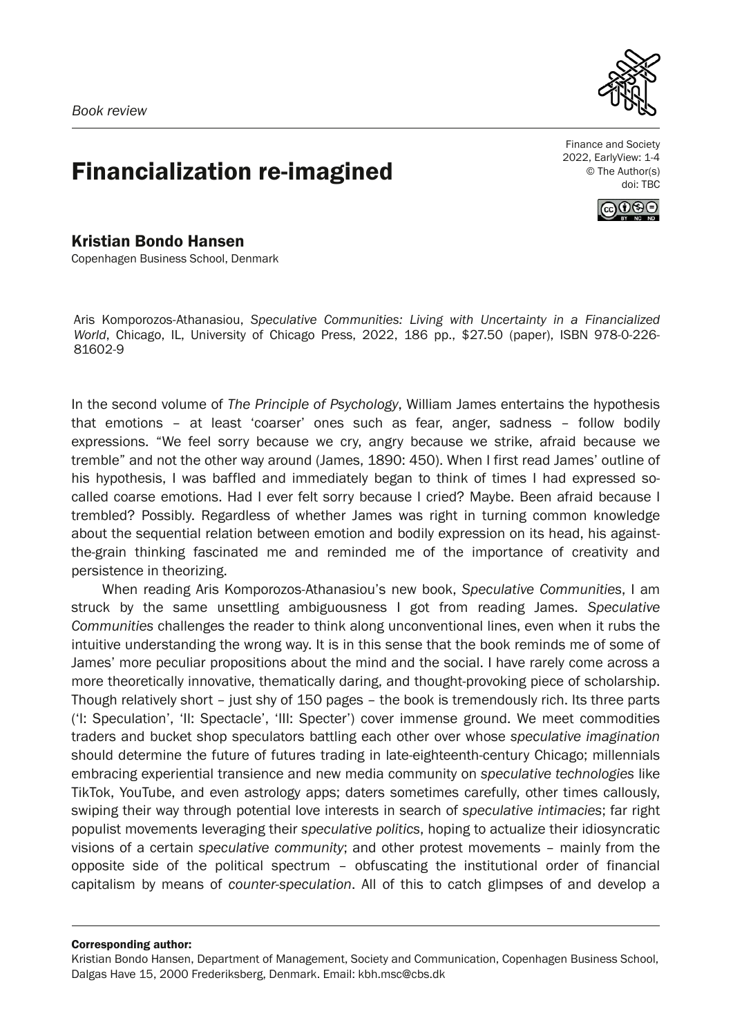

## Financialization re-imagined

Finance and Society 2022, EarlyView: 1-4 © The Author(s) doi: TBC



Kristian Bondo Hansen Copenhagen Business School, Denmark

Aris Komporozos-Athanasiou, *Speculative Communities: Living with Uncertainty in a Financialized World*, Chicago, IL, University of Chicago Press, 2022, 186 pp., \$27.50 (paper), ISBN 978-0-226- 81602-9

In the second volume of *The Principle of Psychology*, William James entertains the hypothesis that emotions – at least 'coarser' ones such as fear, anger, sadness – follow bodily expressions. "We feel sorry because we cry, angry because we strike, afraid because we tremble" and not the other way around (James, 1890: 450). When I first read James' outline of his hypothesis, I was baffled and immediately began to think of times I had expressed socalled coarse emotions. Had I ever felt sorry because I cried? Maybe. Been afraid because I trembled? Possibly. Regardless of whether James was right in turning common knowledge about the sequential relation between emotion and bodily expression on its head, his againstthe-grain thinking fascinated me and reminded me of the importance of creativity and persistence in theorizing.

When reading Aris Komporozos-Athanasiou's new book, *Speculative Communities*, I am struck by the same unsettling ambiguousness I got from reading James. *Speculative Communities* challenges the reader to think along unconventional lines, even when it rubs the intuitive understanding the wrong way. It is in this sense that the book reminds me of some of James' more peculiar propositions about the mind and the social. I have rarely come across a more theoretically innovative, thematically daring, and thought-provoking piece of scholarship. Though relatively short – just shy of 150 pages – the book is tremendously rich. Its three parts ('I: Speculation', 'II: Spectacle', 'III: Specter') cover immense ground. We meet commodities traders and bucket shop speculators battling each other over whose *speculative imagination* should determine the future of futures trading in late-eighteenth-century Chicago; millennials embracing experiential transience and new media community on *speculative technologies* like TikTok, YouTube, and even astrology apps; daters sometimes carefully, other times callously, swiping their way through potential love interests in search of *speculative intimacies*; far right populist movements leveraging their *speculative politics*, hoping to actualize their idiosyncratic visions of a certain *speculative community*; and other protest movements – mainly from the opposite side of the political spectrum – obfuscating the institutional order of financial capitalism by means of *counter-speculation*. All of this to catch glimpses of and develop a

## Corresponding author:

Kristian Bondo Hansen, Department of Management, Society and Communication, Copenhagen Business School, Dalgas Have 15, 2000 Frederiksberg, Denmark. Email: kbh.msc@cbs.dk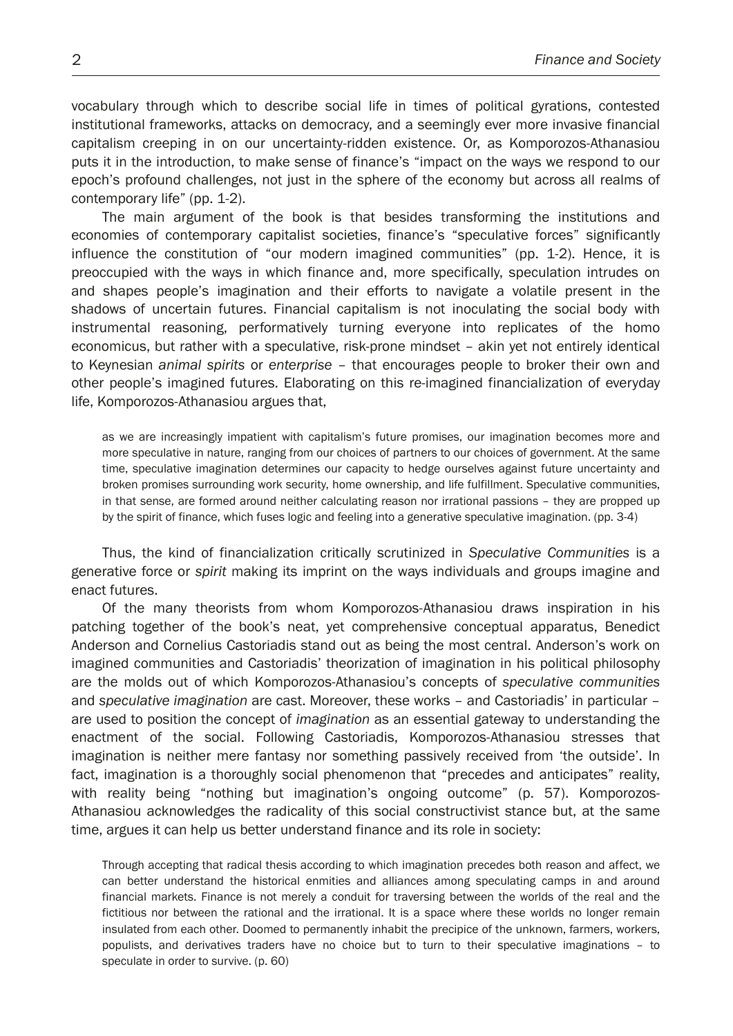vocabulary through which to describe social life in times of political gyrations, contested institutional frameworks, attacks on democracy, and a seemingly ever more invasive financial capitalism creeping in on our uncertainty-ridden existence. Or, as Komporozos-Athanasiou puts it in the introduction, to make sense of finance's "impact on the ways we respond to our epoch's profound challenges, not just in the sphere of the economy but across all realms of contemporary life" (pp. 1-2).

The main argument of the book is that besides transforming the institutions and economies of contemporary capitalist societies, finance's "speculative forces" significantly influence the constitution of "our modern imagined communities" (pp. 1-2). Hence, it is preoccupied with the ways in which finance and, more specifically, speculation intrudes on and shapes people's imagination and their efforts to navigate a volatile present in the shadows of uncertain futures. Financial capitalism is not inoculating the social body with instrumental reasoning, performatively turning everyone into replicates of the homo economicus, but rather with a speculative, risk-prone mindset – akin yet not entirely identical to Keynesian *animal spirits* or *enterprise* – that encourages people to broker their own and other people's imagined futures. Elaborating on this re-imagined financialization of everyday life, Komporozos-Athanasiou argues that,

as we are increasingly impatient with capitalism's future promises, our imagination becomes more and more speculative in nature, ranging from our choices of partners to our choices of government. At the same time, speculative imagination determines our capacity to hedge ourselves against future uncertainty and broken promises surrounding work security, home ownership, and life fulfillment. Speculative communities, in that sense, are formed around neither calculating reason nor irrational passions – they are propped up by the spirit of finance, which fuses logic and feeling into a generative speculative imagination. (pp. 3-4)

Thus, the kind of financialization critically scrutinized in *Speculative Communities* is a generative force or *spirit* making its imprint on the ways individuals and groups imagine and enact futures.

Of the many theorists from whom Komporozos-Athanasiou draws inspiration in his patching together of the book's neat, yet comprehensive conceptual apparatus, Benedict Anderson and Cornelius Castoriadis stand out as being the most central. Anderson's work on imagined communities and Castoriadis' theorization of imagination in his political philosophy are the molds out of which Komporozos-Athanasiou's concepts of *speculative communities* and *speculative imagination* are cast. Moreover, these works – and Castoriadis' in particular – are used to position the concept of *imagination* as an essential gateway to understanding the enactment of the social. Following Castoriadis, Komporozos-Athanasiou stresses that imagination is neither mere fantasy nor something passively received from 'the outside'. In fact, imagination is a thoroughly social phenomenon that "precedes and anticipates" reality, with reality being "nothing but imagination's ongoing outcome" (p. 57). Komporozos-Athanasiou acknowledges the radicality of this social constructivist stance but, at the same time, argues it can help us better understand finance and its role in society:

Through accepting that radical thesis according to which imagination precedes both reason and affect, we can better understand the historical enmities and alliances among speculating camps in and around financial markets. Finance is not merely a conduit for traversing between the worlds of the real and the fictitious nor between the rational and the irrational. It is a space where these worlds no longer remain insulated from each other. Doomed to permanently inhabit the precipice of the unknown, farmers, workers, populists, and derivatives traders have no choice but to turn to their speculative imaginations – to speculate in order to survive. (p. 60)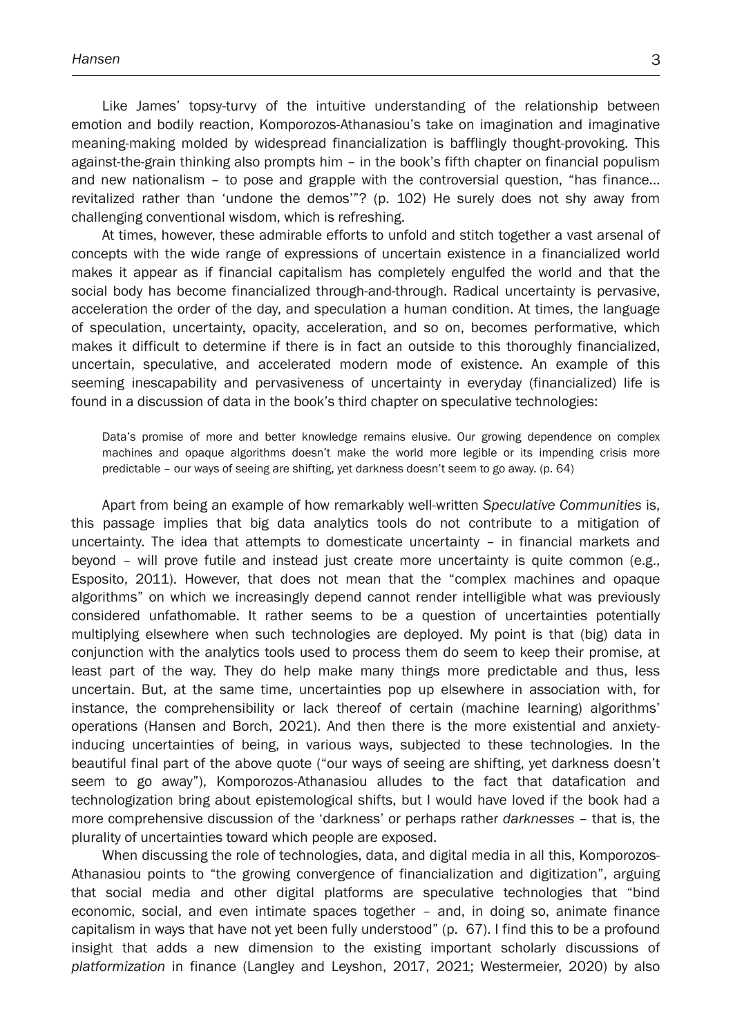Like James' topsy-turvy of the intuitive understanding of the relationship between emotion and bodily reaction, Komporozos-Athanasiou's take on imagination and imaginative meaning-making molded by widespread financialization is bafflingly thought-provoking. This against-the-grain thinking also prompts him – in the book's fifth chapter on financial populism and new nationalism – to pose and grapple with the controversial question, "has finance… revitalized rather than 'undone the demos'"? (p. 102) He surely does not shy away from challenging conventional wisdom, which is refreshing.

At times, however, these admirable efforts to unfold and stitch together a vast arsenal of concepts with the wide range of expressions of uncertain existence in a financialized world makes it appear as if financial capitalism has completely engulfed the world and that the social body has become financialized through-and-through. Radical uncertainty is pervasive, acceleration the order of the day, and speculation a human condition. At times, the language of speculation, uncertainty, opacity, acceleration, and so on, becomes performative, which makes it difficult to determine if there is in fact an outside to this thoroughly financialized, uncertain, speculative, and accelerated modern mode of existence. An example of this seeming inescapability and pervasiveness of uncertainty in everyday (financialized) life is found in a discussion of data in the book's third chapter on speculative technologies:

Data's promise of more and better knowledge remains elusive. Our growing dependence on complex machines and opaque algorithms doesn't make the world more legible or its impending crisis more predictable – our ways of seeing are shifting, yet darkness doesn't seem to go away. (p. 64)

Apart from being an example of how remarkably well-written *Speculative Communities* is, this passage implies that big data analytics tools do not contribute to a mitigation of uncertainty. The idea that attempts to domesticate uncertainty – in financial markets and beyond – will prove futile and instead just create more uncertainty is quite common (e.g., Esposito, 2011). However, that does not mean that the "complex machines and opaque algorithms" on which we increasingly depend cannot render intelligible what was previously considered unfathomable. It rather seems to be a question of uncertainties potentially multiplying elsewhere when such technologies are deployed. My point is that (big) data in conjunction with the analytics tools used to process them do seem to keep their promise, at least part of the way. They do help make many things more predictable and thus, less uncertain. But, at the same time, uncertainties pop up elsewhere in association with, for instance, the comprehensibility or lack thereof of certain (machine learning) algorithms' operations (Hansen and Borch, 2021). And then there is the more existential and anxietyinducing uncertainties of being, in various ways, subjected to these technologies. In the beautiful final part of the above quote ("our ways of seeing are shifting, yet darkness doesn't seem to go away"), Komporozos-Athanasiou alludes to the fact that datafication and technologization bring about epistemological shifts, but I would have loved if the book had a more comprehensive discussion of the 'darkness' or perhaps rather *darknesses* – that is, the plurality of uncertainties toward which people are exposed.

When discussing the role of technologies, data, and digital media in all this, Komporozos-Athanasiou points to "the growing convergence of financialization and digitization", arguing that social media and other digital platforms are speculative technologies that "bind economic, social, and even intimate spaces together – and, in doing so, animate finance capitalism in ways that have not yet been fully understood" (p. 67). I find this to be a profound insight that adds a new dimension to the existing important scholarly discussions of *platformization* in finance (Langley and Leyshon, 2017, 2021; Westermeier, 2020) by also